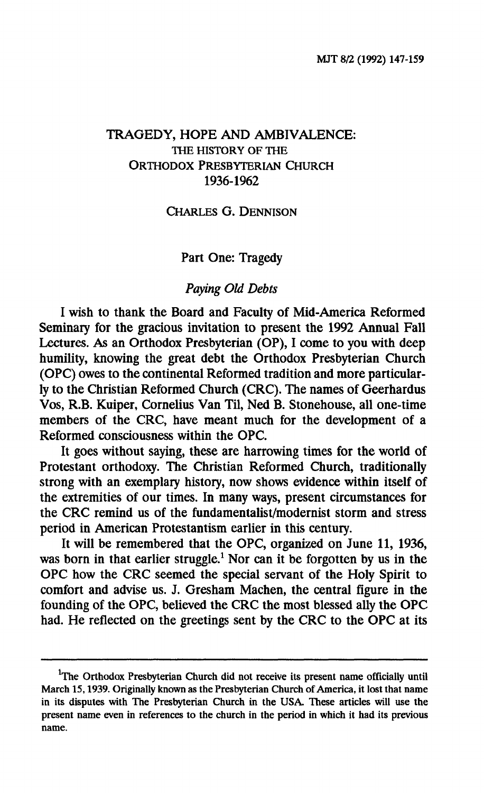## **TRAGEDY, HOPE AND AMBIVALENCE: THE HISTORY OF THE ORTHODOX PRESBYTERIAN CHURCH 1936-1962**

#### **CHARLES G. DENNISON**

### **Part One: Tragedy**

### *Paying Old Debts*

**I wish to thank the Board and Faculty of Mid-America Reformed Seminary for the gracious invitation to present the 1992 Annual Fall Lectures. As an Orthodox Presbyterian (OP), I come to you with deep humility, knowing the great debt the Orthodox Presbyterian Church (OPC) owes to the continental Reformed tradition and more particularly to the Christian Reformed Church (CRC). The names of Geerhardus Vos, R.B. Kuiper, Cornelius Van Til, Ned B. Stonehouse, all one-time members of the CRC, have meant much for the development of a Reformed consciousness within the OPC.** 

**It goes without saying, these are harrowing times for the world of Protestant orthodoxy. The Christian Reformed Church, traditionally strong with an exemplary history, now shows evidence within itself of the extremities of our times. In many ways, present circumstances for the CRC remind us of the fundamentalist/modernist storm and stress period in American Protestantism earlier in this century.** 

**It will be remembered that the OPC, organized on June 11, 1936, was born in that earlier struggle.<sup>1</sup> Nor can it be forgotten by us in the OPC how the CRC seemed the special servant of the Holy Spirit to comfort and advise us. J. Gresham Machen, the central figure in the founding of the OPC, believed the CRC the most blessed ally the OPC had. He reflected on the greetings sent by the CRC to the OPC at its** 

<sup>&</sup>lt;sup>1</sup>The Orthodox Presbyterian Church did not receive its present name officially until **March 15,1939. Originally known as the Presbyterian Church of America, it lost that name in its disputes with The Presbyterian Church in the USA. These articles will use the present name even in references to the church in the period in which it had its previous name.**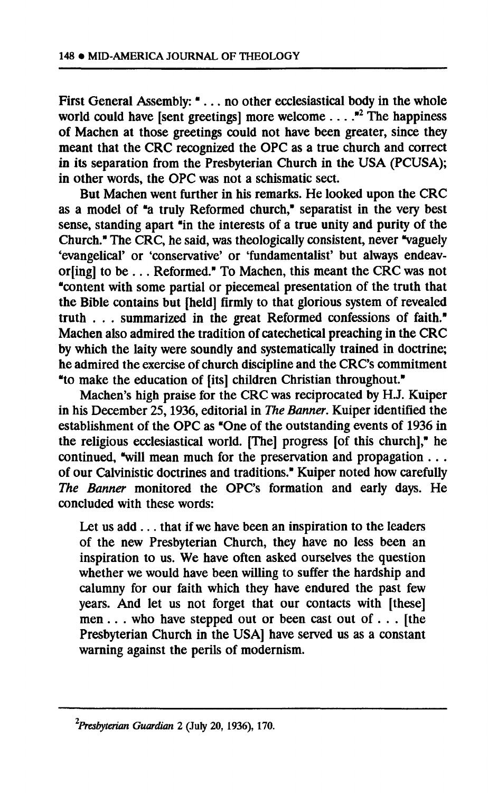**First General Assembly: ".. . no other ecclesiastical body in the whole world could have [sent greetings] more welcome . . . ."<sup>2</sup> The happiness of Machen at those greetings could not have been greater, since they meant that the CRC recognized the OPC as a true church and correct in its separation from the Presbyterian Church in the USA (PCUSA); in other words, the OPC was not a schismatic sect.** 

**But Machen went further in his remarks. He looked upon the CRC as a model of "a truly Reformed church," separatist in the very best sense, standing apart "in the interests of a true unity and purity of the Church." The CRC, he said, was theologically consistent, never "vaguely evangelical' or 'conservative' or 'fundamentalist' but always endeavoring] to be .. . Reformed." To Machen, this meant the CRC was not "content with some partial or piecemeal presentation of the truth that the Bible contains but [held] firmly to that glorious system of revealed truth . . . summarized in the great Reformed confessions of faith." Machen also admired the tradition of catechetical preaching in the CRC by which the laity were soundly and systematically trained in doctrine; he admired the exercise of church discipline and the CRC's commitment "to make the education of [its] children Christian throughout."** 

**Machen's high praise for the CRC was reciprocated by H.J. Kuiper in his December 25,1936, editorial in** *The Banner.* **Kuiper identified the establishment of the OPC as "One of the outstanding events of 1936 in the religious ecclesiastical world. [The] progress [of this church]," he continued, "will mean much for the preservation and propagation . . . of our Calvinistic doctrines and traditions." Kuiper noted how carefully**  *The Banner* **monitored the OPC's formation and early days. He concluded with these words:** 

**Let us add .. . that if we have been an inspiration to the leaders of the new Presbyterian Church, they have no less been an inspiration to us. We have often asked ourselves the question whether we would have been willing to suffer the hardship and calumny for our faith which they have endured the past few years. And let us not forget that our contacts with [these] men . . . who have stepped out or been cast out of . . . [the Presbyterian Church in the USA] have served us as a constant warning against the perils of modernism.** 

*<sup>2</sup>Presbyterian Guardian* **2 (July 20, 1936), 170.**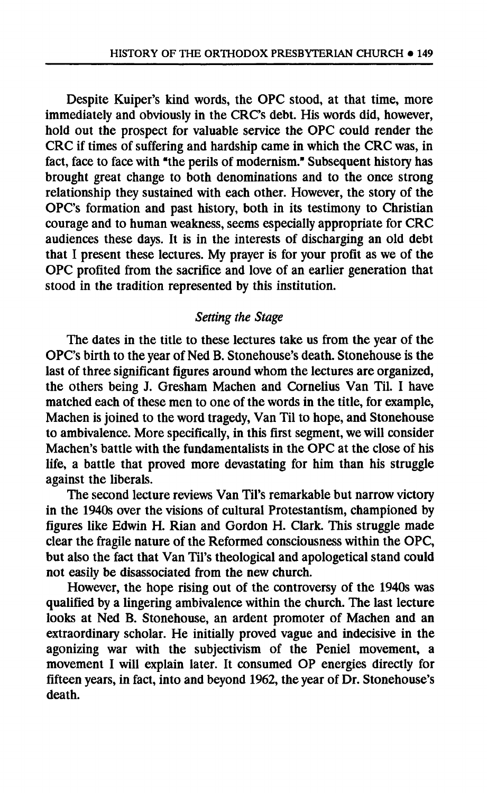**Despite Kuiper's kind words, the OPC stood, at that time, more immediately and obviously in the CRC's debt. His words did, however, hold out the prospect for valuable service the OPC could render the CRC if times of suffering and hardship came in which the CRC was, in fact, face to face with "the perils of modernism." Subsequent history has brought great change to both denominations and to the once strong relationship they sustained with each other. However, the story of the OPC's formation and past history, both in its testimony to Christian courage and to human weakness, seems especially appropriate for CRC audiences these days. It is in the interests of discharging an old debt that I present these lectures. My prayer is for your profit as we of the OPC profited from the sacrifice and love of an earlier generation that stood in the tradition represented by this institution.** 

# *Setting the Stage*

**The dates in the title to these lectures take us from the year of the OPC's birth to the year of Ned B. Stonehouse's death. Stonehouse is the last of three significant figures around whom the lectures are organized, the others being J. Gresham Machen and Cornelius Van Til. I have matched each of these men to one of the words in the title, for example, Machen is joined to the word tragedy, Van Til to hope, and Stonehouse to ambivalence. More specifically, in this first segment, we will consider Machen's battle with the fundamentalists in the OPC at the close of his life, a battle that proved more devastating for him than his struggle against the liberals.** 

**The second lecture reviews Van Til's remarkable but narrow victory in the 1940s over the visions of cultural Protestantism, championed by figures like Edwin H. Rian and Gordon H. Clark. This struggle made clear the fragile nature of the Reformed consciousness within the OPC, but also the fact that Van Til's theological and apologetical stand could not easily be disassociated from the new church.** 

**However, the hope rising out of the controversy of the 1940s was qualified by a lingering ambivalence within the church. The last lecture looks at Ned B. Stonehouse, an ardent promoter of Machen and an extraordinary scholar. He initially proved vague and indecisive in the agonizing war with the subjectivism of the Peniel movement, a movement I will explain later. It consumed OP energies directly for fifteen years, in fact, into and beyond 1962, the year of Dr. Stonehouse's death.**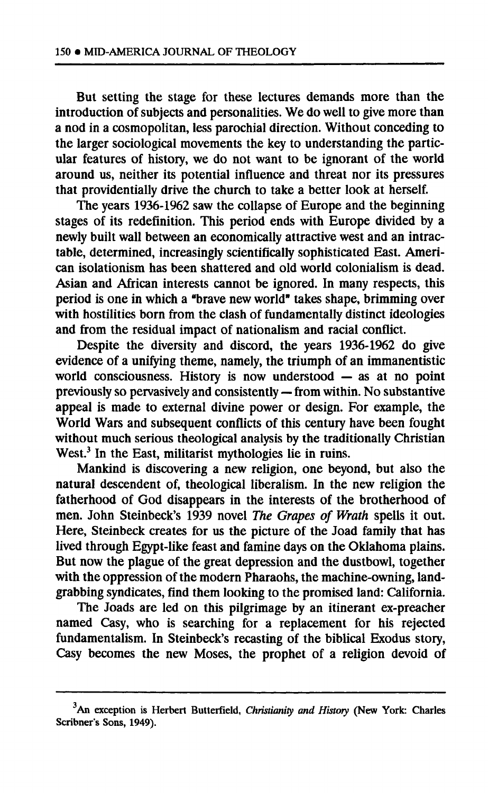**But setting the stage for these lectures demands more than the introduction of subjects and personalities. We do well to give more than a nod in a cosmopolitan, less parochial direction. Without conceding to the larger sociological movements the key to understanding the particular features of history, we do not want to be ignorant of the world around us, neither its potential influence and threat nor its pressures that providentially drive the church to take a better look at herself.** 

**The years 1936-1962 saw the collapse of Europe and the beginning stages of its redefinition. This period ends with Europe divided by a newly built wall between an economically attractive west and an intractable, determined, increasingly scientifically sophisticated East. American isolationism has been shattered and old world colonialism is dead. Asian and African interests cannot be ignored. In many respects, this period is one in which a "brave new world" takes shape, brimming over with hostilities born from the clash of fundamentally distinct ideologies and from the residual impact of nationalism and racial conflict.** 

**Despite the diversity and discord, the years 1936-1962 do give evidence of a unifying theme, namely, the triumph of an immanentistic world consciousness. History is now understood — as at no point previously so pervasively and consistently — from within. No substantive appeal is made to external divine power or design. For example, the World Wars and subsequent conflicts of this century have been fought without much serious theological analysis by the traditionally Christian West.<sup>3</sup> In the East, militarist mythologies lie in ruins.** 

**Mankind is discovering a new religion, one beyond, but also the natural descendent of, theological liberalism. In the new religion the fatherhood of God disappears in the interests of the brotherhood of men. John Steinbeck's 1939 novel** *The Grapes of Wrath* **spells it out. Here, Steinbeck creates for us the picture of the Joad family that has lived through Egypt-like feast and famine days on the Oklahoma plains. But now the plague of the great depression and the dustbowl, together with the oppression of the modern Pharaohs, the machine-owning, landgrabbing syndicates, find them looking to the promised land: California.** 

**The Joads are led on this pilgrimage by an itinerant ex-preacher named Casy, who is searching for a replacement for his rejected fundamentalism. In Steinbeck's recasting of the biblical Exodus story, Casy becomes the new Moses, the prophet of a religion devoid of** 

**An exception is Herbert Butterfield,** *Christianity and History* **(New York: Charles Scribner's Sons, 1949).**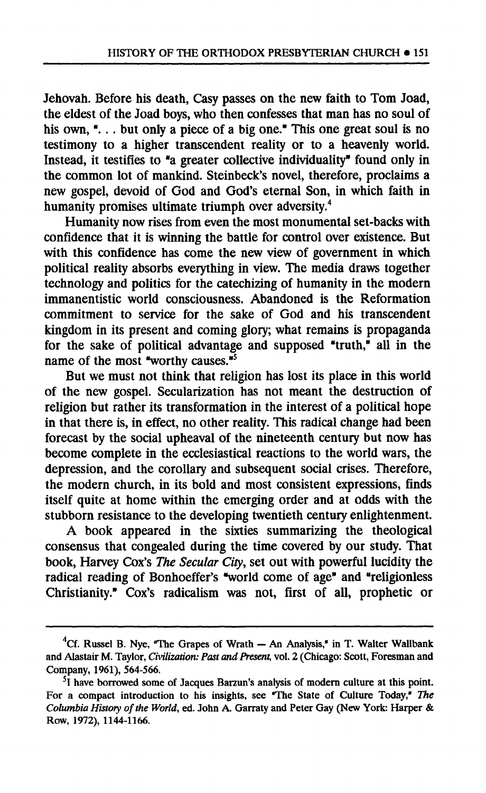**Jehovah. Before his death, Casy passes on the new faith to Tom Joad, the eldest of the Joad boys, who then confesses that man has no soul of his own, ". . . but only a piece of a big one." This one great soul is no testimony to a higher transcendent reality or to a heavenly world. Instead, it testifies to "a greater collective individuality" found only in the common lot of mankind. Steinbeck's novel, therefore, proclaims a new gospel, devoid of God and God's eternal Son, in which faith in humanity promises ultimate triumph over adversity.<sup>4</sup>**

**Humanity now rises from even the most monumental set-backs with confidence that it is winning the battle for control over existence. But with this confidence has come the new view of government in which political reality absorbs everything in view. The media draws together technology and politics for the catechizing of humanity in the modern immanentistic world consciousness. Abandoned is the Reformation commitment to service for the sake of God and his transcendent kingdom in its present and coming glory; what remains is propaganda for the sake of political advantage and supposed "truth," all in the name of the most "worthy causes."<sup>5</sup>**

**But we must not think that religion has lost its place in this world of the new gospel. Secularization has not meant the destruction of religion but rather its transformation in the interest of a political hope in that there is, in effect, no other reality. This radical change had been forecast by the social upheaval of the nineteenth century but now has become complete in the ecclesiastical reactions to the world wars, the depression, and the corollary and subsequent social crises. Therefore, the modern church, in its bold and most consistent expressions, finds itself quite at home within the emerging order and at odds with the stubborn resistance to the developing twentieth century enlightenment.** 

**A book appeared in the sixties summarizing the theological consensus that congealed during the time covered by our study. That book, Harvey Cox's** *The Secular City,* **set out with powerful lucidity the radical reading of Bonhoeffer's "world come of age" and "religionless Christianity." Cox's radicalism was not, first of all, prophetic or** 

**<sup>4</sup>Cf. Russel B. Nye, "The Grapes of Wrath — An Analysis," in T. Walter Wallbank and Alastair M. Taylor,** *Civilization: Past and Present,* **vol. 2 (Chicago: Scott, Foresman and Company, 1961), 564-566.** 

**<sup>5</sup> 1 have borrowed some of Jacques Barzun's analysis of modern culture at this point. For a compact introduction to his insights, see "The State of Culture Today,"** *The Columbia History of the World,* **ed. John A. Garraty and Peter Gay (New York: Harper & Row, 1972), 1144-1166.**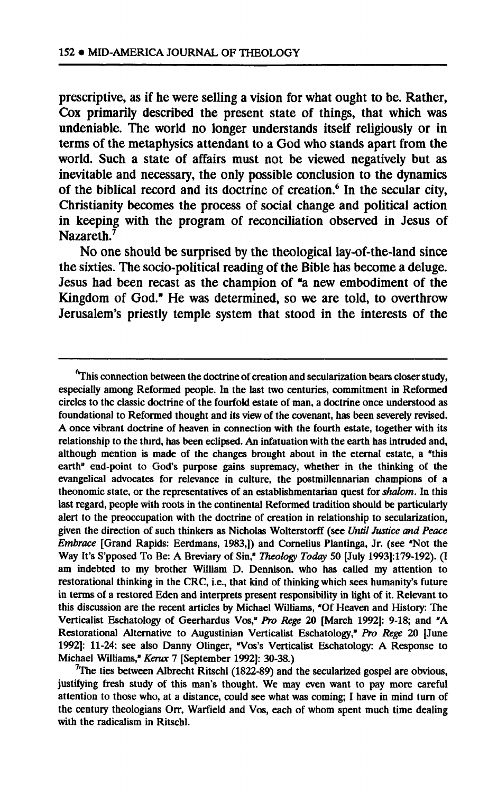**prescriptive, as if he were selling a vision for what ought to be. Rather, Cox primarily described the present state of things, that which was undeniable. The world no longer understands itself religiously or in terms of the metaphysics attendant to a God who stands apart from the world. Such a state of affairs must not be viewed negatively but as inevitable and necessary, the only possible conclusion to the dynamics of the biblical record and its doctrine of creation.<sup>6</sup> In the secular city, Christianity becomes the process of social change and political action in keeping with the program of reconciliation observed in Jesus of Nazareth.<sup>7</sup>**

**No one should be surprised by the theological lay-of-the-land since the sixties. The socio-political reading of the Bible has become a deluge. Jesus had been recast as the champion of "a new embodiment of the Kingdom of God." He was determined, so we are told, to overthrow Jerusalem's priestly temple system that stood in the interests of the** 

**<sup>&#</sup>x27;'This connection between the doctrine of creation and secularization bears closer study, especially among Reformed people. In the last two centuries, commitment in Reformed circles to the classic doctrine of the fourfold estate of man, a doctrine once understood as foundational to Reformed thought and its view of the covenant, has been severely revised. A once vibrant doctrine of heaven in connection with the fourth estate, together with its relationship to the third, has been eclipsed. An infatuation with the earth has intruded and, although mention is made of the changes brought about in the eternal estate, a "this earth" end-point to God's purpose gains supremacy, whether in the thinking of the evangelical advocates for relevance in culture, the postmillennarian champions of a theonomic state, or the representatives of an establishmentarian quest for** *shalom.* **In this last regard, people with roots in the continental Reformed tradition should be particularly alert to the preoccupation with the doctrine of creation in relationship to secularization, given the direction of such thinkers as Nicholas Wolterstorff (see** *Until Justice and Peace Embrace* **[Grand Rapids: Eerdmans, 1983,]) and Cornelius Plantinga, Jr. (see "Not the Way It's S'pposed To Be: A Breviary of Sin,"** *Theology Today* **50 [July 1993]: 179-192). (I am indebted to my brother William D. Dennison. who has called my attention to restorational thinking in the CRC, i.e., that kind of thinking which sees humanity's future in terms of a restored Eden and interprets present responsibility in light of it. Relevant to this discussion are the recent articles by Michael Williams, "Of Heaven and History: The Verticalist Eschatology of Geerhardus Vos,"** *Pro Rege* **20 [March 1992]: 9-18; and "A Restorational Alternative to Augustinian Verticalist Eschatology,"** *Pro Rege* **20 [June 1992]: 11-24: see also Danny Olinger, "Vos's Verticalist Eschatology: A Response to Michael Williams,"** *Kerux* **7 [September 1992]: 30-38.)** 

**<sup>7</sup>The ties between Albrecht Ritschl (1822-89) and the secularized gospel are obvious, justifying fresh study of this man's thought. We may even want to pay more careful attention to those who, at a distance, could see what was coming; I have in mind turn of the century theologians Orr, Warfield and Vos, each of whom spent much time dealing with the radicalism in Ritschl.**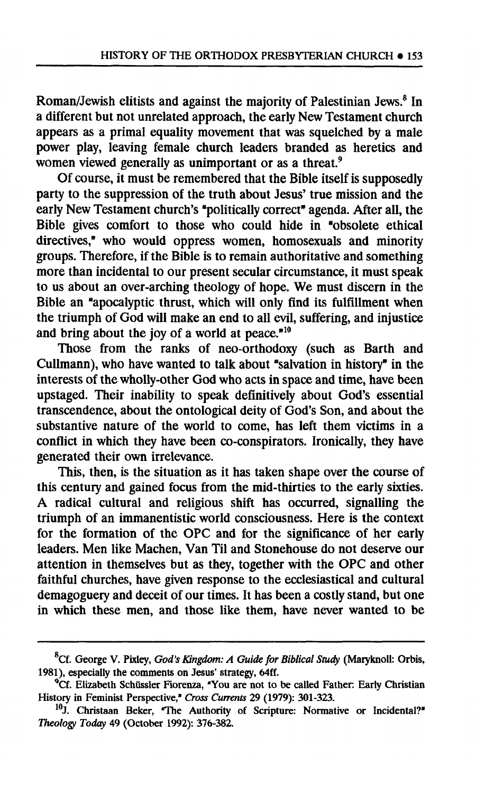**Roman/Jewish elitists and against the majority of Palestinian Jews.<sup>8</sup> In a different but not unrelated approach, the early New Testament church appears as a primal equality movement that was squelched by a male power play, leaving female church leaders branded as heretics and women viewed generally as unimportant or as a threat.<sup>9</sup>**

**Of course, it must be remembered that the Bible itself is supposedly party to the suppression of the truth about Jesus' true mission and the early New Testament church's "politically correct" agenda. After all, the Bible gives comfort to those who could hide in "obsolete ethical directives," who would oppress women, homosexuals and minority groups. Therefore, if the Bible is to remain authoritative and something more than incidental to our present secular circumstance, it must speak to us about an over-arching theology of hope. We must discern in the Bible an "apocalyptic thrust, which will only find its fulfillment when the triumph of God will make an end to all evil, suffering, and injustice and bring about the joy of a world at peace."<sup>10</sup>**

**Those from the ranks of neo-orthodoxy (such as Barth and Cullmann), who have wanted to talk about "salvation in history" in the interests of the wholly-other God who acts in space and time, have been upstaged. Their inability to speak definitively about God's essential transcendence, about the ontological deity of God's Son, and about the substantive nature of the world to come, has left them victims in a conflict in which they have been co-conspirators. Ironically, they have generated their own irrelevance.** 

**This, then, is the situation as it has taken shape over the course of this century and gained focus from the mid-thirties to the early sixties. A radical cultural and religious shift has occurred, signalling the triumph of an immanentistic world consciousness. Here is the context for the formation of the OPC and for the significance of her early leaders. Men like Machen, Van Til and Stonehouse do not deserve our attention in themselves but as they, together with the OPC and other faithful churches, have given response to the ecclesiastical and cultural demagoguery and deceit of our times. It has been a costly stand, but one in which these men, and those like them, have never wanted to be** 

**Cf. George V. Pixley,** *God's Kingdom: A Guide for Biblical Study* **(Maryknoll: Orbis, 1981), especially the comments on Jesus' strategy, 64ff.** 

**<sup>°</sup>Cf. Elizabeth Schüssler Fiorenza, "You are not to be called Father: Early Christian History in Feminist Perspective,"** *Cross Currents* **29 (1979): 301-323.** 

**<sup>10</sup>J. Christaan Beker, "The Authority of Scripture: Normative or Incidental?"**  *Theology Today* **49 (October 1992): 376-382.**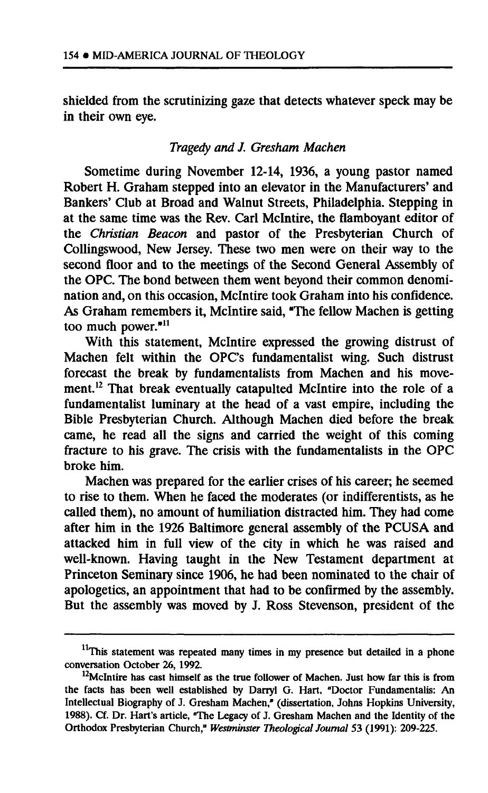**shielded from the scrutinizing gaze that detects whatever speck may be in their own eye.** 

## *Tragedy and J. Gresham Machen*

**Sometime during November 12-14, 1936, a young pastor named Robert H. Graham stepped into an elevator in the Manufacturers' and Bankers' Club at Broad and Walnut Streets, Philadelphia. Stepping in at the same time was the Rev. Carl Mclntire, the flamboyant editor of the** *Christian Beacon* **and pastor of the Presbyterian Church of Collingswood, New Jersey. These two men were on their way to the second floor and to the meetings of the Second General Assembly of the OPC. The bond between them went beyond their common denomination and, on this occasion, Mclntire took Graham into his confidence. As Graham remembers it, Mclntire said, "The fellow Machen is getting too much power."<sup>11</sup>**

**With this statement, Mclntire expressed the growing distrust of Machen felt within the OPC's fundamentalist wing. Such distrust forecast the break by fundamentalists from Machen and his movement.<sup>12</sup> That break eventually catapulted Mclntire into the role of a fundamentalist luminary at the head of a vast empire, including the Bible Presbyterian Church. Although Machen died before the break came, he read all the signs and carried the weight of this coming fracture to his grave. The crisis with the fundamentalists in the OPC broke him.** 

**Machen was prepared for the earlier crises of his career; he seemed to rise to them. When he faced the moderates (or indifferentists, as he called them), no amount of humiliation distracted him. They had come after him in the 1926 Baltimore general assembly of the PCUSA and attacked him in full view of the city in which he was raised and well-known. Having taught in the New Testament department at Princeton Seminary since 1906, he had been nominated to the chair of apologetics, an appointment that had to be confirmed by the assembly. But the assembly was moved by J. Ross Stevenson, president of the** 

**This statement was repeated many times in my presence but detailed in a phone conversation October 26,1992.** 

**<sup>12</sup>McIntire has cast himself as the true follower of Machen. Just how far this is from the facts has been well established by Darryl G. Hart, "Doctor Fundamentalis: An Intellectual Biography of J. Gresham Machen," (dissertation, Johns Hopkins University, 1988). Cf. Dr. Hart's article, "The Legacy of J. Gresham Machen and the Identity of the Orthodox Presbyterian Church,"** *Westminster Theological Journal* **53 (1991): 209-225.**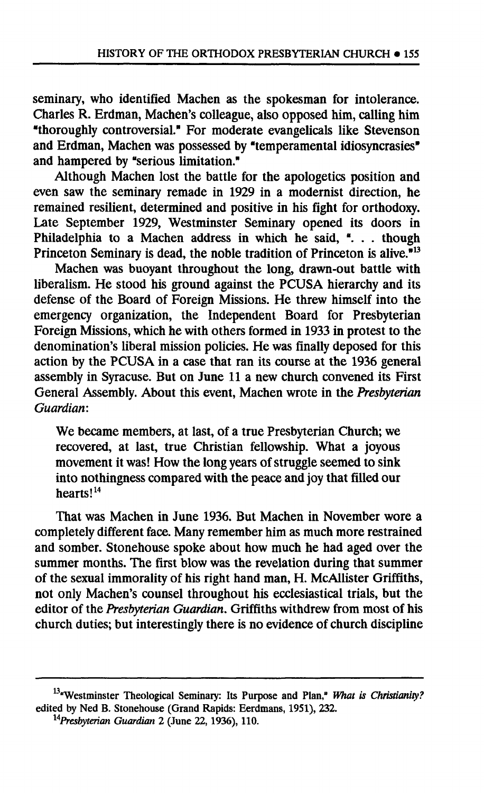**seminary, who identified Machen as the spokesman for intolerance. Charles R. Erdman, Machen's colleague, also opposed him, calling him "thoroughly controversial." For moderate evangelicals like Stevenson and Erdman, Machen was possessed by "temperamental idiosyncrasies" and hampered by "serious limitation."** 

**Although Machen lost the battle for the apologetics position and even saw the seminary remade in 1929 in a modernist direction, he remained resilient, determined and positive in his fight for orthodoxy. Late September 1929, Westminster Seminary opened its doors in Philadelphia to a Machen address in which he said, ". . . though Princeton Seminary is dead, the noble tradition of Princeton is alive."<sup>13</sup>**

**Machen was buoyant throughout the long, drawn-out battle with liberalism. He stood his ground against the PCUSA hierarchy and its defense of the Board of Foreign Missions. He threw himself into the emergency organization, the Independent Board for Presbyterian Foreign Missions, which he with others formed in 1933 in protest to the denomination's liberal mission policies. He was finally deposed for this action by the PCUSA in a case that ran its course at the 1936 general assembly in Syracuse. But on June 11a new church convened its First General Assembly. About this event, Machen wrote in the** *Presbyterian Guardian:* 

**We became members, at last, of a true Presbyterian Church; we recovered, at last, true Christian fellowship. What a joyous movement it was! How the long years of struggle seemed to sink into nothingness compared with the peace and joy that filled our hearts!<sup>14</sup>**

**That was Machen in June 1936. But Machen in November wore a completely different face. Many remember him as much more restrained and somber. Stonehouse spoke about how much he had aged over the**  summer months. The first blow was the revelation during that summer **of the sexual immorality of his right hand man, H. McAllister Griffiths, not only Machen's counsel throughout his ecclesiastical trials, but the editor of the** *Presbyterian Guardian.* **Griffiths withdrew from most of his church duties; but interestingly there is no evidence of church discipline** 

**<sup>&</sup>quot;Westminster Theological Seminary: Its Purpose and Plan,"** *What is Christianity?*  **edited by Ned B. Stonehouse (Grand Rapids: Eerdmans, 1951), 232.** 

*<sup>1</sup>APresbyterian Guardian 2* **(June 22, 1936), 110.**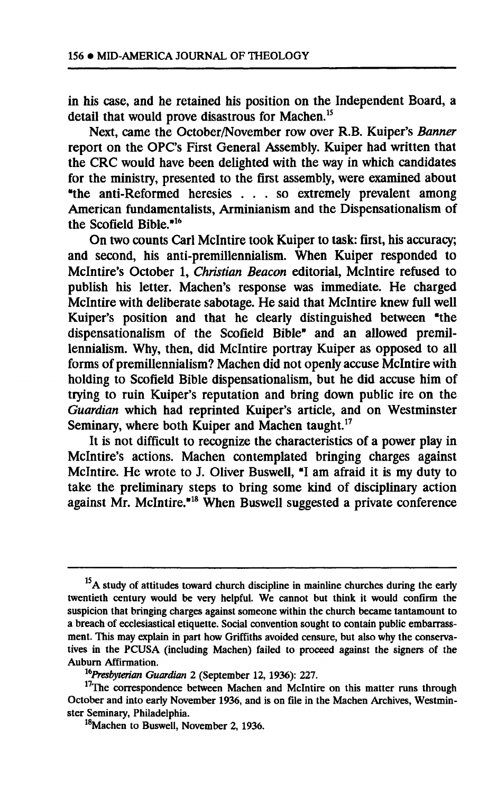**in his case, and he retained his position on the Independent Board, a detail that would prove disastrous for Machen.<sup>15</sup>**

**Next, came the October/November row over R.B. Kuiper's** *Banner*  report on the OPC's First General Assembly. Kuiper had written that **the CRC would have been delighted with the way in which candidates for the ministry, presented to the first assembly, were examined about "the anti-Reformed heresies .. . so extremely prevalent among American fundamentalists, Arminianism and the Dispensationalism of the Scofield Bible."<sup>16</sup>**

**On two counts Carl Mclntire took Kuiper to task: first, his accuracy; and second, his anti-premillennialism. When Kuiper responded to Mclntire's October 1,** *Christian Beacon* **editorial, Mclntire refused to publish his letter. Machen's response was immediate. He charged Mclntire with deliberate sabotage. He said that Mclntire knew full well Kuiper's position and that he clearly distinguished between "the dispensationalism of the Scofield Bible" and an allowed premillennialism. Why, then, did Mclntire portray Kuiper as opposed to all forms of premillennialism? Machen did not openly accuse Mclntire with holding to Scofield Bible dispensationalism, but he did accuse him of trying to ruin Kuiper's reputation and bring down public ire on the**  *Guardian* **which had reprinted Kuiper's article, and on Westminster Seminary, where both Kuiper and Machen taught.<sup>17</sup>**

**It is not difficult to recognize the characteristics of a power play in Mclntire's actions. Machen contemplated bringing charges against Mclntire. He wrote to J. Oliver Buswell, "I am afraid it is my duty to take the preliminary steps to bring some kind of disciplinary action against Mr. Mclntire."<sup>18</sup> When Buswell suggested a private conference** 

<sup>&</sup>lt;sup>15</sup>A study of attitudes toward church discipline in mainline churches during the early **twentieth century would be very helpful. We cannot but think it would confirm the suspicion that bringing charges against someone within the church became tantamount to a breach of ecclesiastical etiquette. Social convention sought to contain public embarrassment. This may explain in part how Griffiths avoided censure, but also why the conservatives in the PCUSA (including Machen) failed to proceed against the signers of the Auburn Affirmation.** 

*lbPresbyterian Guardian 2* **(September 12, 1936): 227.** 

**<sup>17</sup>The correspondence between Machen and Mclntire on this matter runs through October and into early November 1936, and is on file in the Machen Archives, Westminster Seminary, Philadelphia.** 

**<sup>18</sup>Machen to Buswell, November 2, 1936.**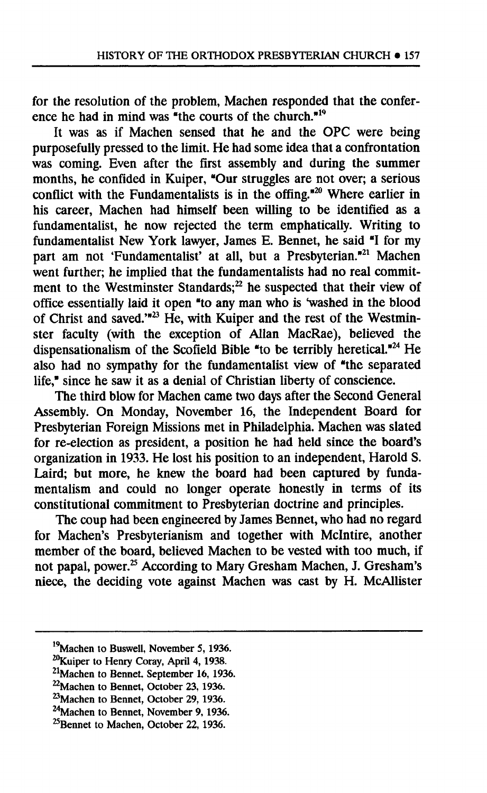**for the resolution of the problem, Machen responded that the conference he had in mind was "the courts of the church."<sup>10</sup>**

**It was as if Machen sensed that he and the OPC were being purposefully pressed to the limit. He had some idea that a confrontation was coming. Even after the first assembly and during the summer months, he confided in Kuiper, "Our struggles are not over; a serious conflict with the Fundamentalists is in the offing."<sup>20</sup> Where earlier in his career, Machen had himself been willing to be identified as a fundamentalist, he now rejected the term emphatically. Writing to fundamentalist New York lawyer, James E. Bennet, he said e I for my part am not 'Fundamentalist' at all, but a Presbyterian."<sup>21</sup> Machen went further; he implied that the fundamentalists had no real commitment to the Westminster Standards;<sup>22</sup> he suspected that their view of**  office essentially laid it open "to any man who is 'washed in the blood **of Christ and saved.'"<sup>23</sup> He, with Kuiper and the rest of the Westminster faculty (with the exception of Allan MacRae), believed the dispensationalism of the Scofield Bible "to be terribly heretical."<sup>24</sup> He also had no sympathy for the fundamentalist view of "the separated life," since he saw it as a denial of Christian liberty of conscience.** 

**The third blow for Machen came two days after the Second General Assembly. On Monday, November 16, the Independent Board for Presbyterian Foreign Missions met in Philadelphia. Machen was slated for re-election as president, a position he had held since the board's organization in 1933. He lost his position to an independent, Harold S. Laird; but more, he knew the board had been captured by fundamentalism and could no longer operate honestly in terms of its constitutional commitment to Presbyterian doctrine and principles.** 

**The coup had been engineered by James Bennet, who had no regard for Machen's Presbyterianism and together with Mclntire, another member of the board, believed Machen to be vested with too much, if not papal, power.<sup>25</sup> According to Mary Gresham Machen, J. Gresham's niece, the deciding vote against Machen was cast by H. McAllister** 

**<sup>19</sup>Machen to Buswell, November 5, 1936.** 

**<sup>20</sup>Kuiper to Henry Coray, April 4, 1938.** 

**<sup>21</sup>Machen to Bennet, September 16, 1936.** 

**<sup>22</sup>Machen to Bennet, October 23, 1936.** 

<sup>&</sup>lt;sup>23</sup> Machen to Bennet, October 29, 1936.

**<sup>24</sup>Machen to Bennet, November 9, 1936.** 

**<sup>^</sup>Bennet to Machen, October 22,1936.**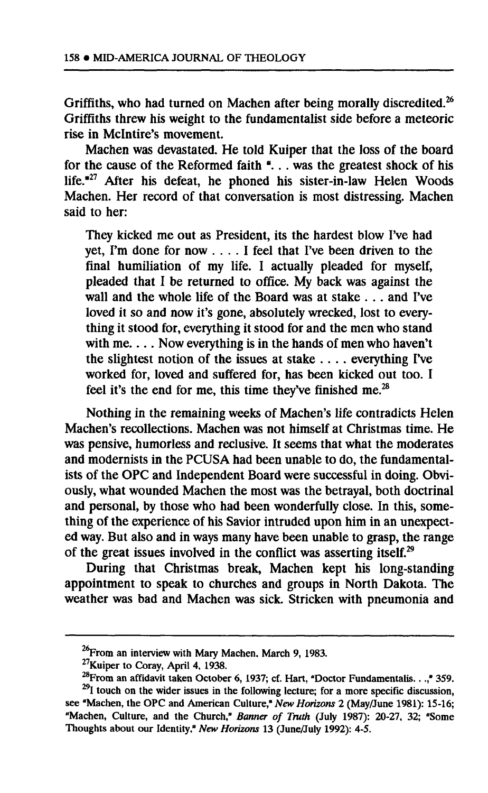**Griffiths, who had turned on Machen after being morally discredited.<sup>26</sup> Griffiths threw his weight to the fundamentalist side before a meteoric rise in Mclntire's movement.** 

**Machen was devastated. He told Kuiper that the loss of the board for the cause of the Reformed faith a .. . was the greatest shock of his life."<sup>27</sup> After his defeat, he phoned his sister-in-law Helen Woods Machen. Her record of that conversation is most distressing. Machen said to her:** 

**They kicked me out as President, its the hardest blow I've had yet, Pm done for now ... . I feel that I've been driven to the final humiliation of my life. I actually pleaded for myself, pleaded that I be returned to office. My back was against the wall and the whole life of the Board was at stake . . . and I've loved it so and now it's gone, absolutely wrecked, lost to everything it stood for, everything it stood for and the men who stand with me... . Now everything is in the hands of men who haven't the slightest notion of the issues at stake ... . everything I've worked for, loved and suffered for, has been kicked out too. I feel it's the end for me, this time they've finished me.<sup>28</sup>**

**Nothing in the remaining weeks of Machen's life contradicts Helen Machen's recollections. Machen was not himself at Christmas time. He was pensive, humorless and reclusive. It seems that what the moderates and modernists in the PCUSA had been unable to do, the fundamentalists of the OPC and Independent Board were successful in doing. Obviously, what wounded Machen the most was the betrayal, both doctrinal and personal, by those who had been wonderfully close. In this, something of the experience of his Savior intruded upon him in an unexpected way. But also and in ways many have been unable to grasp, the range of the great issues involved in the conflict was asserting itself.<sup>29</sup>**

**During that Christmas break, Machen kept his long-standing appointment to speak to churches and groups in North Dakota. The weather was bad and Machen was sick. Stricken with pneumonia and** 

<sup>&</sup>lt;sup>26</sup> From an interview with Mary Machen, March 9, 1983.

**<sup>27</sup>Kuiper to Coray, April 4, 1938.** 

**<sup>^</sup>From an affidavit taken October 6, 1937; cf. Hart, "Doctor Fundamentalis. . .," 359.** 

**<sup>29</sup>I touch on the wider issues in the following lecture; for a more specific discussion, see "Machen, the OPC and American Culture,"** *New Horizons 2* **(May/June 1981): 15-16; "Machen, Culture, and the Church,"** *Banner of Truth* **(July 1987): 20-27, 32; "Some Thoughts about our Identity,"** *New Horizons* **13 (June/July 1992): 4-5.**